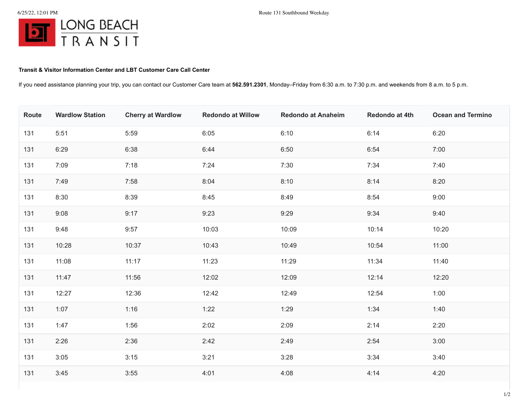## **Transit & Visitor Information Center and LBT Customer Care Call Center**

If you need assistance planning your trip, you can contact our Customer Care team at **562.591.2301**, Monday–Friday from 6:30 a.m. to 7:30 p.m. and weekends from 8 a.m. to 5 p.m.

| Route | <b>Wardlow Station</b> | <b>Cherry at Wardlow</b> | <b>Redondo at Willow</b> | <b>Redondo at Anaheim</b> | Redondo at 4th | <b>Ocean and Termino</b> |
|-------|------------------------|--------------------------|--------------------------|---------------------------|----------------|--------------------------|
| 131   | 5:51                   | 5:59                     | 6:05                     | 6:10                      | 6:14           | 6:20                     |
| 131   | 6:29                   | 6:38                     | 6:44                     | 6:50                      | 6:54           | 7:00                     |
| 131   | 7:09                   | 7:18                     | 7:24                     | 7:30                      | 7:34           | 7:40                     |
| 131   | 7:49                   | 7:58                     | 8:04                     | 8:10                      | 8:14           | 8:20                     |
| 131   | 8:30                   | 8:39                     | 8:45                     | 8:49                      | 8:54           | 9:00                     |
| 131   | 9:08                   | 9:17                     | 9:23                     | 9:29                      | 9:34           | 9:40                     |
| 131   | 9:48                   | 9:57                     | 10:03                    | 10:09                     | 10:14          | 10:20                    |
| 131   | 10:28                  | 10:37                    | 10:43                    | 10:49                     | 10:54          | 11:00                    |
| 131   | 11:08                  | 11:17                    | 11:23                    | 11:29                     | 11:34          | 11:40                    |
| 131   | 11:47                  | 11:56                    | 12:02                    | 12:09                     | 12:14          | 12:20                    |
| 131   | 12:27                  | 12:36                    | 12:42                    | 12:49                     | 12:54          | 1:00                     |
| 131   | 1:07                   | 1:16                     | 1:22                     | 1:29                      | 1:34           | 1:40                     |
| 131   | 1:47                   | 1:56                     | 2:02                     | 2:09                      | 2:14           | 2:20                     |
| 131   | 2:26                   | 2:36                     | 2:42                     | 2:49                      | 2:54           | 3:00                     |
| 131   | 3:05                   | 3:15                     | 3:21                     | 3:28                      | 3:34           | 3:40                     |
| 131   | 3:45                   | 3:55                     | 4:01                     | 4:08                      | 4:14           | 4:20                     |